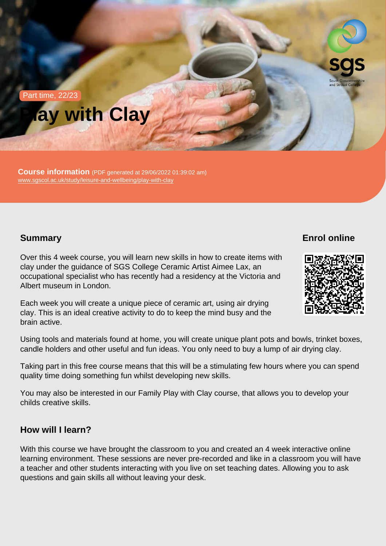# Part time, 22/23 Play with Clay

Course information (PDF generated at 29/06/2022 01:39:02 am) [www.sgscol.ac.uk/study/leisure-and-wellbeing/play-with-clay](https://www.sgscol.ac.uk/study/leisure-and-wellbeing/play-with-clay)

# **Summary**

Enrol online

Over this 4 week course, you will learn new skills in how to create items with clay under the guidance of SGS College Ceramic Artist Aimee Lax, an occupational specialist who has recently had a residency at the Victoria and Albert museum in London.

Each week you will create a unique piece of ceramic art, using air drying clay. This is an ideal creative activity to do to keep the mind busy and the brain active.

Using tools and materials found at home, you will create unique plant pots and bowls, trinket boxes, candle holders and other useful and fun ideas. You only need to buy a lump of air drying clay.

Taking part in this free course means that this will be a stimulating few hours where you can spend quality time doing something fun whilst developing new skills.

You may also be interested in our Family Play with Clay course, that allows you to develop your childs creative skills.

How will I learn?

With this course we have brought the classroom to you and created an 4 week interactive online learning environment. These sessions are never pre-recorded and like in a classroom you will have a teacher and other students interacting with you live on set teaching dates. Allowing you to ask questions and gain skills all without leaving your desk.